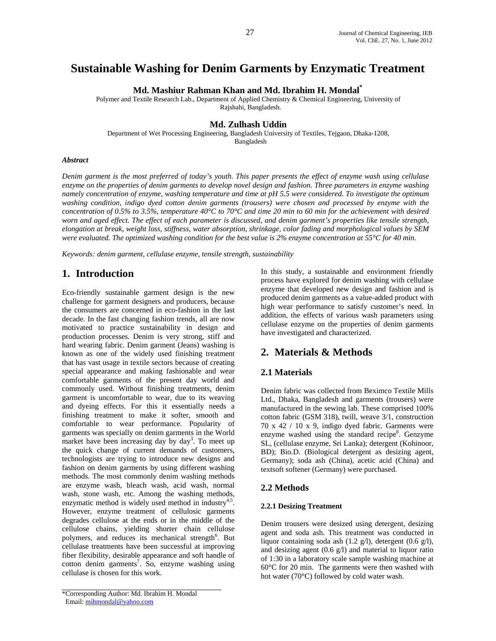# **Sustainable Washing for Denim Garments by Enzymatic Treatment**

**Md. Mashiur Rahman Khan and Md. Ibrahim H. Mondal\***

Polymer and Textile Research Lab., Department of Applied Chemistry & Chemical Engineering, University of Rajshahi, Bangladesh.

#### **Md. Zulhash Uddin**

Department of Wet Processing Engineering, Bangladesh University of Textiles, Tejgaon, Dhaka-1208, Bangladesh

#### *Abstract*

*Denim garment is the most preferred of today's youth. This paper presents the effect of enzyme wash using cellulase enzyme on the properties of denim garments to develop novel design and fashion. Three parameters in enzyme washing namely concentration of enzyme, washing temperature and time at pH 5.5 were considered. To investigate the optimum washing condition, indigo dyed cotton denim garments (trousers) were chosen and processed by enzyme with the concentration of 0.5% to 3.5%, temperature 40°C to 70°C and time 20 min to 60 min for the achievement with desired worn and aged effect. The effect of each parameter is discussed, and denim garment's properties like tensile strength, elongation at break, weight loss, stiffness, water absorption, shrinkage, color fading and morphological values by SEM were evaluated. The optimized washing condition for the best value is 2% enzyme concentration at 55°C for 40 min.* 

*Keywords: denim garment, cellulase enzyme, tensile strength, sustainability*

### **1. Introduction**

Eco-friendly sustainable garment design is the new challenge for garment designers and producers, because the consumers are concerned in eco-fashion in the last decade. In the fast changing fashion trends, all are now motivated to practice sustainability in design and production processes. Denim is very strong, stiff and hard wearing fabric. Denim garment (Jeans) washing is known as one of the widely used finishing treatment that has vast usage in textile sectors because of creating special appearance and making fashionable and wear comfortable garments of the present day world and commonly used. Without finishing treatments, denim garment is uncomfortable to wear, due to its weaving and dyeing effects. For this it essentially needs a finishing treatment to make it softer, smooth and comfortable to wear performance. Popularity of garments was specially on denim garments in the World market have been increasing day by day<sup>3</sup>. To meet up the quick change of current demands of customers, technologists are trying to introduce new designs and fashion on denim garments by using different washing methods. The most commonly denim washing methods are enzyme wash, bleach wash, acid wash, normal wash, stone wash, etc. Among the washing methods, enzymatic method is widely used method in industry $4.5$ . However, enzyme treatment of cellulosic garments degrades cellulose at the ends or in the middle of the cellulose chains, yielding shorter chain cellulose polymers, and reduces its mechanical strength<sup>6</sup>. But cellulase treatments have been successful at improving fiber flexibility, desirable appearance and soft handle of cotton denim garments<sup>7</sup>. So, enzyme washing using cellulase is chosen for this work.

In this study, a sustainable and environment friendly process have explored for denim washing with cellulase enzyme that developed new design and fashion and is produced denim garments as a value-added product with high wear performance to satisfy customer's need. In addition, the effects of various wash parameters using cellulase enzyme on the properties of denim garments have investigated and characterized.

## **2. Materials & Methods**

### **2.1 Materials**

Denim fabric was collected from Beximco Textile Mills Ltd., Dhaka, Bangladesh and garments (trousers) were manufactured in the sewing lab. These comprised 100% cotton fabric (GSM 318), twill, weave 3/1, construction 70 x 42 / 10 x 9, indigo dyed fabric. Garments were enzyme washed using the standard recipe<sup>8</sup>. Genzyme SL, (cellulase enzyme, Sri Lanka); detergent (Kohinoor, BD); Bio.D. (Biological detergent as desizing agent, Germany); soda ash (China), acetic acid (China) and textsoft softener (Germany) were purchased.

#### **2.2 Methods**

#### **2.2.1 Desizing Treatment**

Denim trousers were desized using detergent, desizing agent and soda ash. This treatment was conducted in liquor containing soda ash (1.2 g/l), detergent (0.6 g/l), and desizing agent (0.6 g/l) and material to liquor ratio of 1:30 in a laboratory scale sample washing machine at 60°C for 20 min. The garments were then washed with hot water (70°C) followed by cold water wash.

<sup>\*</sup>Corresponding Author: Md. Ibrahim H. Mondal Email: mihmondal@yahoo.com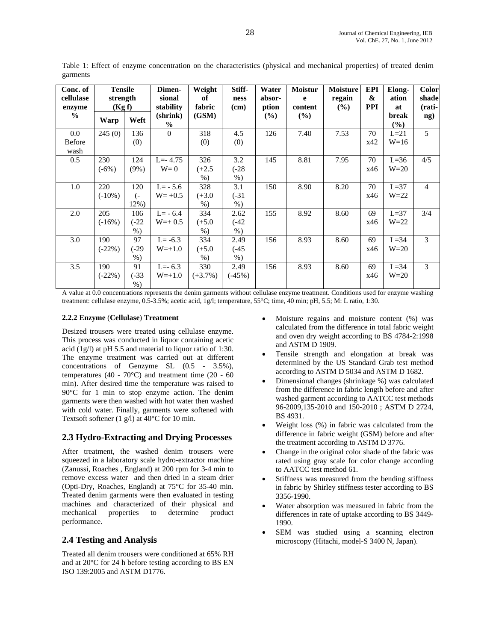| Conc. of<br>cellulase<br>enzyme | <b>Tensile</b><br>strength<br>(Kg f) |                                    | Dimen-<br>sional<br>stability | Weight<br>of<br>fabric   | Stiff-<br>ness<br>(cm)   | Water<br>absor-<br>ption | <b>Moistur</b><br>e<br>content | <b>Moisture</b><br>regain<br>(%) | <b>EPI</b><br>&<br><b>PPI</b> | Elong-<br>ation<br>at | <b>Color</b><br>shade<br>(rati- |
|---------------------------------|--------------------------------------|------------------------------------|-------------------------------|--------------------------|--------------------------|--------------------------|--------------------------------|----------------------------------|-------------------------------|-----------------------|---------------------------------|
| $\frac{0}{0}$                   | Warp                                 | Weft                               | (shrink)<br>$\%$              | (GSM)                    |                          | $(\%)$                   | (%)                            |                                  |                               | break<br>$(\%)$       | ng)                             |
| 0.0<br><b>Before</b><br>wash    | 245(0)                               | 136<br>(0)                         | $\Omega$                      | 318<br>(0)               | 4.5<br>(0)               | 126                      | 7.40                           | 7.53                             | 70<br>x42                     | $L=21$<br>$W=16$      | 5                               |
| 0.5                             | 230<br>$(-6%)$                       | 124<br>$(9\%)$                     | $L = -4.75$<br>$W=0$          | 326<br>$(+2.5)$<br>$%$ ) | 3.2<br>$(-28)$<br>$%$ )  | 145                      | 8.81                           | 7.95                             | 70<br>x46                     | $L=36$<br>$W=20$      | 4/5                             |
| 1.0                             | 220<br>$(-10\%)$                     | 120<br>$\overline{(-)}$<br>$12\%)$ | $L = -5.6$<br>$W = +0.5$      | 328<br>$(+3.0)$<br>$%$ ) | 3.1<br>$(-31)$<br>$%$ )  | 150                      | 8.90                           | 8.20                             | 70<br>x46                     | $L=37$<br>$W=22$      | $\overline{4}$                  |
| 2.0                             | 205<br>$(-16%)$                      | 106<br>$(-22)$<br>$%$ )            | $L = -6.4$<br>$W=+0.5$        | 334<br>$(+5.0)$<br>$%$ ) | 2.62<br>$(-42)$<br>$%$ ) | 155                      | 8.92                           | 8.60                             | 69<br>x46                     | $L=37$<br>$W=22$      | 3/4                             |
| 3.0                             | 190<br>$(-22\%)$                     | 97<br>$(-29)$<br>$%$ )             | $L = -6.3$<br>$W=+1.0$        | 334<br>$(+5.0)$<br>$%$ ) | 2.49<br>$(-45)$<br>$%$ ) | 156                      | 8.93                           | 8.60                             | 69<br>x46                     | $L=34$<br>$W=20$      | 3                               |
| 3.5                             | 190<br>$(-22\%)$                     | 91<br>$(-33)$<br>$%$ )             | $L=-6.3$<br>$W=+1.0$          | 330<br>$(+3.7\%)$        | 2.49<br>$(-45%)$         | 156                      | 8.93                           | 8.60                             | 69<br>x46                     | $L=34$<br>$W=20$      | 3                               |

Table 1: Effect of enzyme concentration on the characteristics (physical and mechanical properties) of treated denim garments

A value at 0.0 concentrations represents the denim garments without cellulase enzyme treatment. Conditions used for enzyme washing treatment: cellulase enzyme, 0.5-3.5%; acetic acid, 1g/l; temperature, 55°C; time, 40 min; pH, 5.5; M: L ratio, 1:30.

#### **2.2.2 Enzyme** (**Cellulase**) **Treatment**

Desized trousers were treated using cellulase enzyme. This process was conducted in liquor containing acetic acid (1g/l) at pH 5.5 and material to liquor ratio of 1:30. The enzyme treatment was carried out at different concentrations of Genzyme SL (0.5 - 3.5%), temperatures (40 - 70 $^{\circ}$ C) and treatment time (20 - 60 min). After desired time the temperature was raised to 90°C for 1 min to stop enzyme action. The denim garments were then washed with hot water then washed with cold water. Finally, garments were softened with Textsoft softener (1 g/l) at 40°C for 10 min.

### **2.3 Hydro**-**Extracting and Drying Processes**

After treatment, the washed denim trousers were squeezed in a laboratory scale hydro-extractor machine (Zanussi, Roaches , England) at 200 rpm for 3-4 min to remove excess water and then dried in a steam drier (Opti-Dry, Roaches, England) at 75°C for 35-40 min. Treated denim garments were then evaluated in testing machines and characterized of their physical and mechanical properties to determine product performance.

### **2.4 Testing and Analysis**

Treated all denim trousers were conditioned at 65% RH and at 20°C for 24 h before testing according to BS EN ISO 139:2005 and ASTM D1776.

- Moisture regains and moisture content (%) was calculated from the difference in total fabric weight and oven dry weight according to BS 4784-2:1998 and ASTM D 1909.
- Tensile strength and elongation at break was determined by the US Standard Grab test method according to ASTM D 5034 and ASTM D 1682.
- Dimensional changes (shrinkage %) was calculated from the difference in fabric length before and after washed garment according to AATCC test methods 96-2009,135-2010 and 150-2010 ; ASTM D 2724, BS 4931.
- Weight loss (%) in fabric was calculated from the difference in fabric weight (GSM) before and after the treatment according to ASTM D 3776.
- Change in the original color shade of the fabric was rated using gray scale for color change according to AATCC test method 61.
- Stiffness was measured from the bending stiffness in fabric by Shirley stiffness tester according to BS 3356-1990.
- Water absorption was measured in fabric from the differences in rate of uptake according to BS 3449- 1990.
- SEM was studied using a scanning electron microscopy (Hitachi, model-S 3400 N, Japan).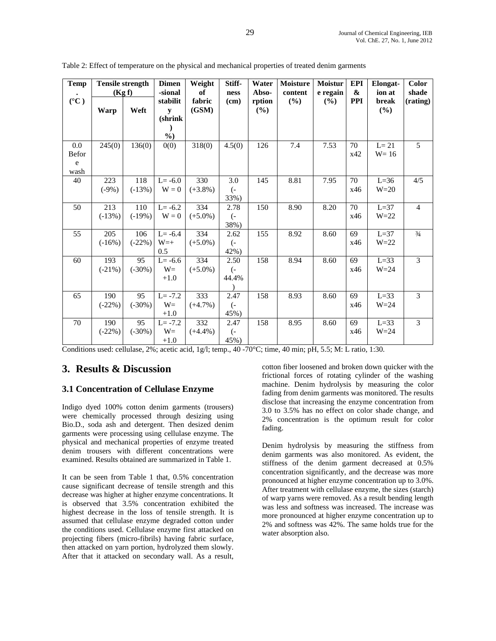| <b>Temp</b>     | <b>Tensile strength</b> |           | <b>Dimen</b> | Weight     | Stiff-            | Water  | <b>Moisture</b> | <b>Moistur</b> | <b>EPI</b> | <b>Elongat-</b> | Color          |
|-----------------|-------------------------|-----------|--------------|------------|-------------------|--------|-----------------|----------------|------------|-----------------|----------------|
|                 | (Kg f)                  |           | -sional      | of         | ness              | Abso-  | content         | e regain       | &          | ion at          | shade          |
| $({}^{\circ}C)$ |                         |           | stabilit     | fabric     | (cm)              | rption | (%)             | (%)            | <b>PPI</b> | break           | (rating)       |
|                 | Warp                    | Weft      | y            | (GSM)      |                   | (%)    |                 |                |            | (%)             |                |
|                 |                         |           | (shrink      |            |                   |        |                 |                |            |                 |                |
|                 |                         |           | $\lambda$    |            |                   |        |                 |                |            |                 |                |
|                 |                         |           | $\%$         |            |                   |        |                 |                |            |                 |                |
| 0.0             | 245(0)                  | 136(0)    | 0(0)         | 318(0)     | 4.5(0)            | 126    | 7.4             | 7.53           | 70         | $L = 21$        | 5              |
| Befor           |                         |           |              |            |                   |        |                 |                | x42        | $W = 16$        |                |
| e               |                         |           |              |            |                   |        |                 |                |            |                 |                |
| wash            |                         |           |              |            |                   |        |                 |                |            |                 |                |
| 40              | 223                     | 118       | $L = -6.0$   | 330        | 3.0               | 145    | 8.81            | 7.95           | 70         | $L=36$          | 4/5            |
|                 | $(-9%)$                 | $(-13%)$  | $W = 0$      | $(+3.8\%)$ | $\overline{(-)}$  |        |                 |                | x46        | $W=20$          |                |
|                 |                         |           |              |            | 33%)              |        |                 |                |            |                 |                |
| 50              | 213                     | 110       | $L = -6.2$   | 334        | 2.78              | 150    | 8.90            | 8.20           | 70         | $L=37$          | $\overline{4}$ |
|                 | $(-13%)$                | $(-19%)$  | $W = 0$      | $(+5.0\%)$ | $\left( -\right)$ |        |                 |                | x46        | $W = 22$        |                |
|                 |                         |           |              |            | 38%)              |        |                 |                |            |                 |                |
| 55              | 205                     | 106       | $L = -6.4$   | 334        | 2.62              | 155    | 8.92            | 8.60           | 69         | $L=37$          | $^{3/4}$       |
|                 | $(-16%)$                | $(-22\%)$ | $W=+$        | $(+5.0\%)$ | $\left( -\right)$ |        |                 |                | x46        | $W = 22$        |                |
|                 |                         |           | 0.5          |            | 42%)              |        |                 |                |            |                 |                |
| 60              | 193                     | 95        | $L = -6.6$   | 334        | 2.50              | 158    | 8.94            | 8.60           | 69         | $L=33$          | $\overline{3}$ |
|                 | $(-21\%)$               | $(-30\%)$ | $W=$         | $(+5.0\%)$ | $\left( -\right)$ |        |                 |                | x46        | $W = 24$        |                |
|                 |                         |           | $+1.0$       |            | 44.4%             |        |                 |                |            |                 |                |
|                 |                         |           |              |            |                   |        |                 |                |            |                 |                |
| 65              | 190                     | 95        | $L = -7.2$   | 333        | 2.47              | 158    | 8.93            | 8.60           | 69         | $L=33$          | $\overline{3}$ |
|                 | $(-22%)$                | $(-30\%)$ | $W=$         | $(+4.7\%)$ | $\overline{(-)}$  |        |                 |                | x46        | $W = 24$        |                |
|                 |                         |           | $+1.0$       |            | 45%)              |        |                 |                |            |                 |                |
| 70              | 190                     | 95        | $L = -7.2$   | 332        | 2.47              | 158    | 8.95            | 8.60           | 69         | $L=33$          | 3              |
|                 | $(-22%)$                | $(-30\%)$ | $W=$         | $(+4.4\%)$ | $\left( -\right)$ |        |                 |                | x46        | $W = 24$        |                |
|                 |                         |           | $+1.0$       |            | 45%)              |        |                 |                |            |                 |                |

Table 2: Effect of temperature on the physical and mechanical properties of treated denim garments

Conditions used: cellulase, 2%; acetic acid, 1g/l; temp., 40 -70°C; time, 40 min; pH, 5.5; M: L ratio, 1:30.

## **3. Results & Discussion**

#### **3.1 Concentration of Cellulase Enzyme**

Indigo dyed 100% cotton denim garments (trousers) were chemically processed through desizing using Bio.D., soda ash and detergent. Then desized denim garments were processing using cellulase enzyme. The physical and mechanical properties of enzyme treated denim trousers with different concentrations were examined. Results obtained are summarized in Table 1.

It can be seen from Table 1 that, 0.5% concentration cause significant decrease of tensile strength and this decrease was higher at higher enzyme concentrations. It is observed that 3.5% concentration exhibited the highest decrease in the loss of tensile strength. It is assumed that cellulase enzyme degraded cotton under the conditions used. Cellulase enzyme first attacked on projecting fibers (micro-fibrils) having fabric surface, then attacked on yarn portion, hydrolyzed them slowly. After that it attacked on secondary wall. As a result,

cotton fiber loosened and broken down quicker with the frictional forces of rotating cylinder of the washing machine. Denim hydrolysis by measuring the color fading from denim garments was monitored. The results disclose that increasing the enzyme concentration from 3.0 to 3.5% has no effect on color shade change, and 2% concentration is the optimum result for color fading.

Denim hydrolysis by measuring the stiffness from denim garments was also monitored. As evident, the stiffness of the denim garment decreased at 0.5% concentration significantly, and the decrease was more pronounced at higher enzyme concentration up to 3.0%. After treatment with cellulase enzyme, the sizes (starch) of warp yarns were removed. As a result bending length was less and softness was increased. The increase was more pronounced at higher enzyme concentration up to 2% and softness was 42%. The same holds true for the water absorption also.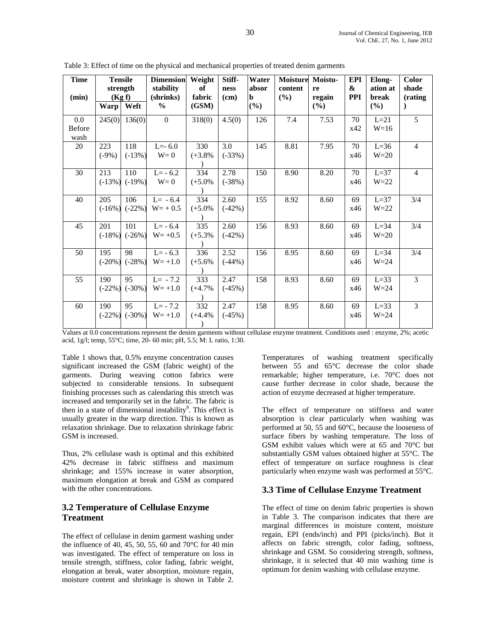| <b>Time</b><br>(min)         | <b>Tensile</b><br>strength<br>(Kg f) |                 | <b>Dimension</b><br>stability<br>(shrinks) | Weight<br>of<br>fabric | Stiff-<br>ness<br>(cm) | Water<br>absor<br>b | Moisture<br>content<br>(%) | Moistu-<br>re<br>regain | EPI<br>&<br><b>PPI</b> | Elong-<br>ation at<br>break | Color<br>shade<br>(rating |
|------------------------------|--------------------------------------|-----------------|--------------------------------------------|------------------------|------------------------|---------------------|----------------------------|-------------------------|------------------------|-----------------------------|---------------------------|
|                              | <b>Warp</b>                          | Weft            | $\frac{0}{0}$                              | (GSM)                  |                        | (%)                 |                            | (%)                     |                        | (%)                         | $\lambda$                 |
| 0.0<br><b>Before</b><br>wash | 245(0)                               | 136(0)          | $\mathbf{0}$                               | 318(0)                 | 4.5(0)                 | 126                 | 7.4                        | 7.53                    | 70<br>x42              | $L=21$<br>$W=16$            | 5                         |
| 20                           | 223<br>$(-9%)$                       | 118<br>$(-13%)$ | $L=-6.0$<br>$W=0$                          | 330<br>$(+3.8%$        | 3.0<br>$(-33%)$        | 145                 | 8.81                       | 7.95                    | 70<br>x46              | $L=36$<br>$W=20$            | $\overline{4}$            |
| 30                           | 213<br>$(-13%)$                      | 110<br>$(-19%)$ | $L = -6.2$<br>$W=0$                        | 334<br>$(+5.0\%$       | 2.78<br>$(-38%)$       | 150                 | 8.90                       | 8.20                    | 70<br>x46              | $L=37$<br>$W = 22$          | $\overline{4}$            |
| 40                           | 205<br>$(-16%)$                      | 106<br>$(-22%)$ | $L = -6.4$<br>$W = +0.5$                   | 334<br>$(+5.0\%$       | 2.60<br>$(-42%)$       | 155                 | 8.92                       | 8.60                    | 69<br>x46              | $L=37$<br>$W = 22$          | 3/4                       |
| 45                           | 201<br>$(-18%)$                      | 101<br>$(-26%)$ | $L = -6.4$<br>$W = +0.5$                   | 335<br>$(+5.3\%$       | 2.60<br>$(-42%)$       | 156                 | 8.93                       | 8.60                    | 69<br>x46              | $L=34$<br>$W=20$            | 3/4                       |
| 50                           | 195<br>$(-20\%)$                     | 98<br>$(-28%)$  | $L = -6.3$<br>$W = +1.0$                   | 336<br>$(+5.6%$        | 2.52<br>$(-44%)$       | 156                 | 8.95                       | 8.60                    | 69<br>x46              | $L=34$<br>$W = 24$          | 3/4                       |
| 55                           | 190<br>$(-22\%)$                     | 95<br>$(-30%)$  | $L = -7.2$<br>$W = +1.0$                   | 333<br>$(+4.7%$        | 2.47<br>$(-45%)$       | 158                 | 8.93                       | 8.60                    | 69<br>x46              | $L=33$<br>$W = 24$          | 3                         |
| 60                           | 190<br>$(-22%)$                      | 95<br>$(-30\%)$ | $L = -7.2$<br>$W = +1.0$                   | 332<br>$(+4.4%$        | 2.47<br>$(-45%)$       | 158                 | 8.95                       | 8.60                    | 69<br>x46              | $L=33$<br>$W = 24$          | 3                         |

Table 3: Effect of time on the physical and mechanical properties of treated denim garments

Values at 0.0 concentrations represent the denim garments without cellulase enzyme treatment. Conditions used : enzyme, 2%; acetic acid, 1g/l; temp, 55°C; time, 20- 60 min; pH, 5.5; M: L ratio, 1:30.

Table 1 shows that, 0.5% enzyme concentration causes significant increased the GSM (fabric weight) of the garments. During weaving cotton fabrics were subjected to considerable tensions. In subsequent finishing processes such as calendaring this stretch was increased and temporarily set in the fabric. The fabric is then in a state of dimensional instability<sup>9</sup>. This effect is usually greater in the warp direction. This is known as relaxation shrinkage. Due to relaxation shrinkage fabric GSM is increased.

Thus, 2% cellulase wash is optimal and this exhibited 42% decrease in fabric stiffness and maximum shrinkage; and 155% increase in water absorption, maximum elongation at break and GSM as compared with the other concentrations.

#### **3.2 Temperature of Cellulase Enzyme Treatment**

The effect of cellulase in denim garment washing under the influence of 40, 45, 50, 55, 60 and 70 $^{\circ}$ C for 40 min was investigated. The effect of temperature on loss in tensile strength, stiffness, color fading, fabric weight, elongation at break, water absorption, moisture regain, moisture content and shrinkage is shown in Table 2.

Temperatures of washing treatment specifically between 55 and 65°C decrease the color shade remarkable; higher temperature, i.e. 70°C does not cause further decrease in color shade, because the action of enzyme decreased at higher temperature.

The effect of temperature on stiffness and water absorption is clear particularly when washing was performed at 50, 55 and 60°C, because the looseness of surface fibers by washing temperature. The loss of GSM exhibit values which were at 65 and 70°C but substantially GSM values obtained higher at 55°C. The effect of temperature on surface roughness is clear particularly when enzyme wash was performed at 55°C.

#### **3.3 Time of Cellulase Enzyme Treatment**

The effect of time on denim fabric properties is shown in Table 3. The comparison indicates that there are marginal differences in moisture content, moisture regain, EPI (ends/inch) and PPI (picks/inch). But it affects on fabric strength, color fading, softness, shrinkage and GSM. So considering strength, softness, shrinkage, it is selected that 40 min washing time is optimum for denim washing with cellulase enzyme.